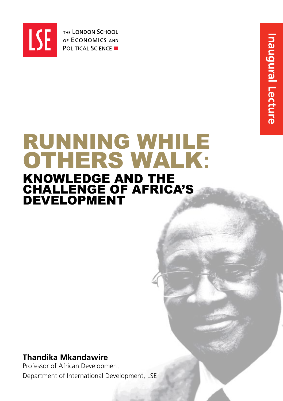

THE LONDON SCHOOL OF ECONOMICS AND **POLITICAL SCIENCE** 

# RUNNING WHILE OTHERS WALK**:** KNOWLEDGE AND THE CHALLENGE OF AFRICA'S DEVELOPMENT

## **Thandika Mkandawire**

Professor of African Development Department of International Development, LSE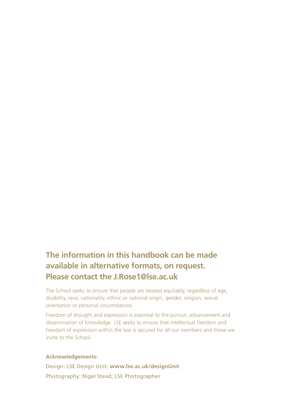## **The information in this handbook can be made available in alternative formats, on request. Please contact the J.Rose1@lse.ac.uk**

The School seeks to ensure that people are treated equitably, regardless of age, disability, race, nationality, ethnic or national origin, gender, religion, sexual orientation or personal circumstances.

Freedom of thought and expression is essential to the pursuit, advancement and dissemination of knowledge. LSE seeks to ensure that intellectual freedom and freedom of expression within the law is secured for all our members and those we invite to the School.

#### **Acknowledgements:**

Design: LSE Design Unit: **www.lse.ac.uk/designUnit** Photography: Nigel Stead, LSE Photographer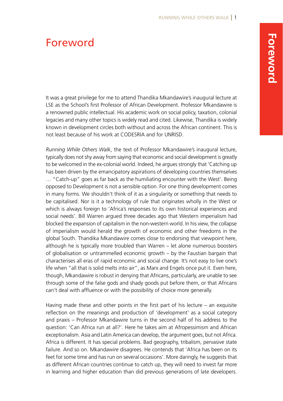## Foreword

It was a great privilege for me to attend Thandika Mkandawire's inaugural lecture at LSE as the School's first Professor of African Development. Professor Mkandawire is a renowned public intellectual. His academic work on social policy, taxation, colonial legacies and many other topics is widely read and cited. Likewise, Thandika is widely known in development circles both without and across the African continent. This is not least because of his work at CODESRIA and for UNRISD.

*Running While Others Walk*, the text of Professor Mkandawire's inaugural lecture, typically does not shy away from saying that economic and social development is greatly to be welcomed in the ex-colonial world. Indeed, he argues strongly that 'Catching up has been driven by the emancipatory aspirations of developing countries themselves … "Catch-up" goes as far back as the humiliating encounter with the West'. Being opposed to Development is not a sensible option. For one thing development comes in many forms. We shouldn't think of it as a singularity or something that needs to be capitalised. Nor is it a technology of rule that originates wholly in the West or which is always foreign to 'Africa's responses to its own historical experiences and social needs'. Bill Warren argued three decades ago that Western imperialism had blocked the expansion of capitalism in the non-western world. In his view, the collapse of imperialism would herald the growth of economic and other freedoms in the global South. Thandika Mkandawire comes close to endorsing that viewpoint here, although he is typically more troubled than Warren – let alone numerous boosters of globalisation or untrammelled economic growth – by the Faustian bargain that characterises all eras of rapid economic and social change. It's not easy to live one's life when "all that is solid melts into air", as Marx and Engels once put it. Even here, though, Mkandawire is robust in denying that Africans, particularly, are unable to see through some of the false gods and shady goods put before them, or that Africans can't deal with affluence or with the possibility of choice more generally.

Having made these and other points in the first part of his lecture – an exquisite reflection on the meanings and production of 'development' as a social category and praxis – Professor Mkandawire turns in the second half of his address to the question: 'Can Africa run at all?'. Here he takes aim at Afropessimism and African exceptionalism. Asia and Latin America can develop, the argument goes, but not Africa. Africa is different. It has special problems. Bad geography, tribalism, pervasive state failure. And so on. Mkandawire disagrees. He contends that 'Africa has been on its feet for some time and has run on several occasions'. More daringly, he suggests that as different African countries continue to catch up, they will need to invest far more in learning and higher education than did previous generations of late developers.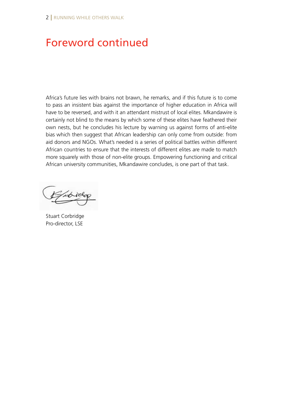## Foreword continued

Africa's future lies with brains not brawn, he remarks, and if this future is to come to pass an insistent bias against the importance of higher education in Africa will have to be reversed, and with it an attendant mistrust of local elites. Mkandawire is certainly not blind to the means by which some of these elites have feathered their own nests, but he concludes his lecture by warning us against forms of anti-elite bias which then suggest that African leadership can only come from outside: from aid donors and NGOs. What's needed is a series of political battles within different African countries to ensure that the interests of different elites are made to match more squarely with those of non-elite groups. Empowering functioning and critical African university communities, Mkandawire concludes, is one part of that task.

Stuart Corbridge Pro-director, LSE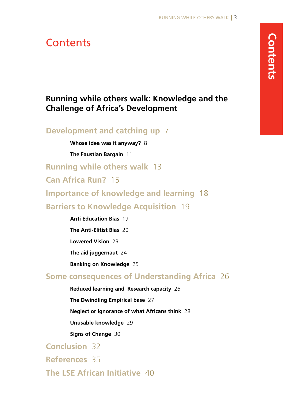## **Contents**

## **Running while others walk: Knowledge and the Challenge of Africa's Development**

**Development and catching up** 7

**Whose idea was it anyway?** 8

**The Faustian Bargain** 11

**Running while others walk** 13

**Can Africa Run?** 15

**Importance of knowledge and learning** 18

**Barriers to Knowledge Acquisition** 19

**Anti Education Bias** 19 **The Anti-Elitist Bias** 20 **Lowered Vision** 23 **The aid juggernaut** 24 **Banking on Knowledge** 25

## **Some consequences of Understanding Africa** 26

**Reduced learning and Research capacity** 26 **The Dwindling Empirical base** 27 **Neglect or Ignorance of what Africans think** 28 **Unusable knowledge** 29 **Signs of Change** 30

**Conclusion** 32 **References** 35 **The LSE African Initiative 40**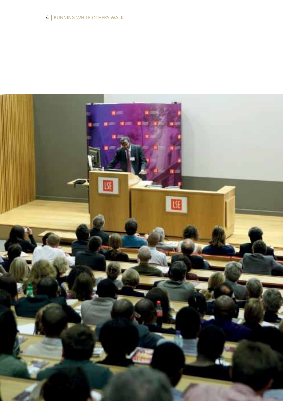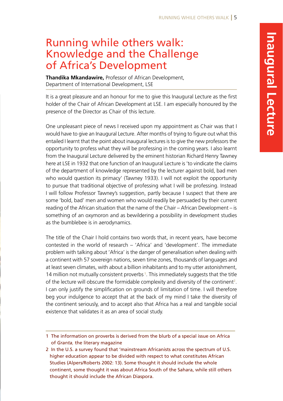## Running while others walk: Knowledge and the Challenge of Africa's Development

**Thandika Mkandawire,** Professor of African Development, Department of International Development, LSE

It is a great pleasure and an honour for me to give this Inaugural Lecture as the first holder of the Chair of African Development at LSE. I am especially honoured by the presence of the Director as Chair of this lecture.

One unpleasant piece of news I received upon my appointment as Chair was that I would have to give an Inaugural Lecture. After months of trying to figure out what this entailed I learnt that the point about inaugural lectures is to give the new professors the opportunity to profess what they will be professing in the coming years. I also learnt from the Inaugural Lecture delivered by the eminent historian Richard Henry Tawney here at LSE in 1932 that one function of an Inaugural Lecture is 'to vindicate the claims of the department of knowledge represented by the lecturer against bold, bad men who would question its primacy' (Tawney 1933). I will not exploit the opportunity to pursue that traditional objective of professing what I will be professing. Instead I will follow Professor Tawney's suggestion, partly because I suspect that there are some 'bold, bad' men and women who would readily be persuaded by their current reading of the African situation that the name of the Chair – African Development – is something of an oxymoron and as bewildering a possibility in development studies as the bumblebee is in aerodynamics.

The title of the Chair I hold contains two words that, in recent years, have become contested in the world of research – 'Africa' and 'development'. The immediate problem with talking about 'Africa' is the danger of generalisation when dealing with a continent with 57 sovereign nations, seven time zones, thousands of languages and at least seven climates, with about a billion inhabitants and to my utter astonishment, 14 million not mutually consistent proverbs**<sup>1</sup>**. This immediately suggests that the title of the lecture will obscure the formidable complexity and diversity of the continent**<sup>2</sup>** . I can only justify the simplification on grounds of limitation of time. I will therefore beg your indulgence to accept that at the back of my mind I take the diversity of the continent seriously, and to accept also that Africa has a real and tangible social existence that validates it as an area of social study.

<sup>1</sup> The information on proverbs is derived from the blurb of a special issue on Africa of *Granta,* the literary magazine

<sup>2</sup> In the U.S. a survey found that 'mainstream Africanists across the spectrum of U.S. higher education appear to be divided with respect to what constitutes African Studies (Alpers/Roberts 2002: 13). Some thought it should include the whole continent, some thought it was about Africa South of the Sahara, while still others thought it should include the African Diaspora.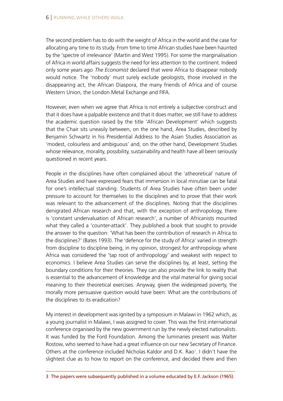The second problem has to do with the weight of Africa in the world and the case for allocating any time to its study. From time to time African studies have been haunted by the 'spectre of irrelevance' (Martin and West 1995). For some the marginalisation of Africa in world affairs suggests the need for less attention to the continent. Indeed only some years ago *The Economist* declared that were Africa to disappear nobody would notice. The 'nobody' must surely exclude geologists, those involved in the disappearing act, the African Diaspora, the many friends of Africa and of course Western Union, the London Metal Exchange and FIFA.

However, even when we agree that Africa is not entirely a subjective construct and that it does have a palpable existence and that it does matter, we still have to address the academic question raised by the title 'African Development' which suggests that the Chair sits uneasily between, on the one hand, Area Studies, described by Benjamin Schwartz in his Presidential Address to the Asian Studies Association as 'modest, colourless and ambiguous' and, on the other hand, Development Studies whose relevance, morality, possibility, sustainability and health have all been seriously questioned in recent years.

People in the disciplines have often complained about the 'atheoretical' nature of Area Studies and have expressed fears that immersion in local minutiae can be fatal for one's intellectual standing. Students of Area Studies have often been under pressure to account for themselves to the disciplines and to prove that their work was relevant to the advancement of the disciplines. Noting that the disciplines denigrated African research and that, with the exception of anthropology, there is 'constant undervaluation of African research', a number of Africanists mounted what they called a 'counter-attack'. They published a book that sought to provide the answer to the question: 'What has been the contribution of research in Africa to the disciplines?' (Bates 1993). The 'defence for the study of Africa' varied in strength from discipline to discipline being, in my opinion, strongest for anthropology where Africa was considered the 'tap root of anthropology' and weakest with respect to economics. I believe Area Studies can serve the disciplines by, at least, setting the boundary conditions for their theories. They can also provide the link to reality that is essential to the advancement of knowledge and the vital material for giving social meaning to their theoretical exercises. Anyway, given the widespread poverty, the morally more persuasive question would have been: What are the contributions of the disciplines to its eradication?

My interest in development was ignited by a symposium in Malawi in 1962 which, as a young journalist in Malawi, I was assigned to cover. This was the first international conference organised by the new government run by the newly elected nationalists. It was funded by the Ford Foundation. Among the luminaries present was Walter Rostow, who seemed to have had a great influence on our new Secretary of Finance. Others at the conference included Nicholas Kaldor and D.K. Rao**<sup>3</sup>** . I didn't have the slightest clue as to how to report on the conference, and decided there and then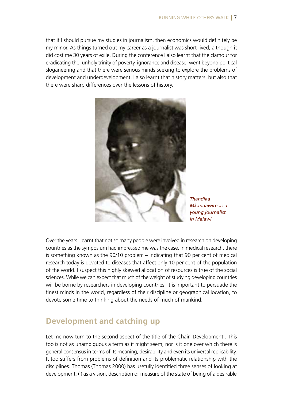that if I should pursue my studies in journalism, then economics would definitely be my minor. As things turned out my career as a journalist was short-lived, although it did cost me 30 years of exile. During the conference I also learnt that the clamour for eradicating the 'unholy trinity of poverty, ignorance and disease' went beyond political sloganeering and that there were serious minds seeking to explore the problems of development and underdevelopment. I also learnt that history matters, but also that there were sharp differences over the lessons of history.



*Thandika Mkandawire as a young journalist in Malawi*

Over the years I learnt that not so many people were involved in research on developing countries as the symposium had impressed me was the case. In medical research, there is something known as the 90/10 problem – indicating that 90 per cent of medical research today is devoted to diseases that affect only 10 per cent of the population of the world. I suspect this highly skewed allocation of resources is true of the social sciences. While we can expect that much of the weight of studying developing countries will be borne by researchers in developing countries, it is important to persuade the finest minds in the world, regardless of their discipline or geographical location, to devote some time to thinking about the needs of much of mankind.

### **Development and catching up**

Let me now turn to the second aspect of the title of the Chair 'Development'. This too is not as unambiguous a term as it might seem, nor is it one over which there is general consensus in terms of its meaning, desirability and even its universal replicability. It too suffers from problems of definition and its problematic relationship with the disciplines. Thomas (Thomas 2000) has usefully identified three senses of looking at development: (i) as a vision, description or measure of the state of being of a desirable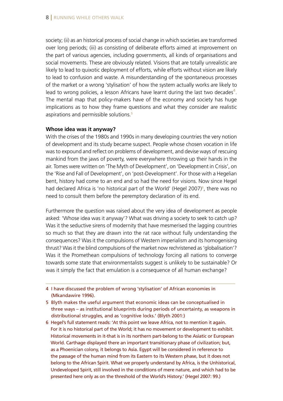society; (ii) as an historical process of social change in which societies are transformed over long periods; (iii) as consisting of deliberate efforts aimed at improvement on the part of various agencies, including governments, all kinds of organisations and social movements. These are obviously related. Visions that are totally unrealistic are likely to lead to quixotic deployment of efforts, while efforts without vision are likely to lead to confusion and waste. A misunderstanding of the spontaneous processes of the market or a wrong 'stylisation' of how the system actually works are likely to lead to wrong policies, a lesson Africans have learnt during the last two decades<sup>4</sup>. The mental map that policy-makers have of the economy and society has huge implications as to how they frame questions and what they consider are realistic aspirations and permissible solutions.**<sup>5</sup>**

#### **Whose idea was it anyway?**

With the crises of the 1980s and 1990s in many developing countries the very notion of development and its study became suspect. People whose chosen vocation in life was to expound and reflect on problems of development, and devise ways of rescuing mankind from the jaws of poverty, were everywhere throwing up their hands in the air. Tomes were written on 'The Myth of Development', on 'Development in Crisis', on the 'Rise and Fall of Development', on 'post-Development'. For those with a Hegelian bent, history had come to an end and so had the need for visions. Now since Hegel had declared Africa is 'no historical part of the World' (Hegel 2007)**<sup>6</sup>** , there was no need to consult them before the peremptory declaration of its end.

Furthermore the question was raised about the very idea of development as people asked: 'Whose idea was it anyway'? What was driving a society to seek to catch up? Was it the seductive sirens of modernity that have mesmerised the lagging countries so much so that they are drawn into the rat race without fully understanding the consequences? Was it the compulsions of Western imperialism and its homogenising thrust? Was it the blind compulsions of the market now rechristened as 'globalisation'? Was it the Promethean compulsions of technology forcing all nations to converge towards some state that environmentalists suggest is unlikely to be sustainable? Or was it simply the fact that emulation is a consequence of all human exchange?

6 Hegel's full statement reads: 'At this point we leave Africa, not to mention it again. For it is no historical part of the World; it has no movement or development to exhibit. Historical movements in it-that is in its northern part-belong to the Asiatic or European World. Carthage displayed there an important transitionary phase of civilization; but, as a Phoenician colony, it belongs to Asia. Egypt will be considered in reference to the passage of the human mind from its Eastern to its Western phase, but it does not belong to the African Spirit. What we properly understand by Africa, is the Unhistorical, Undeveloped Spirit, still involved in the conditions of mere nature, and which had to be presented here only as on the threshold of the World's History.' (Hegel 2007: 99.)

<sup>4</sup> I have discussed the problem of wrong 'stylisation' of African economies in (Mkandawire 1996).

<sup>5</sup> Blyth makes the useful argument that economic ideas can be conceptualised in three ways – as institutional blueprints during periods of uncertainty, as weapons in distributional struggles, and as 'cognitive locks.' (Blyth 2001:)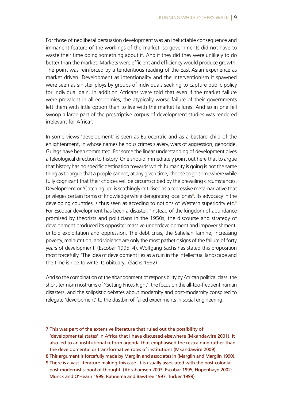For those of neoliberal persuasion development was an ineluctable consequence and immanent feature of the workings of the market, so governments did not have to waste their time doing something about it. And if they did they were unlikely to do better than the market. Markets were efficient and efficiency would produce growth. The point was reinforced by a tendentious reading of the East Asian experience as market driven. Development as intentionality and the interventionism it spawned were seen as sinister ploys by groups of individuals seeking to capture public policy for individual gain. In addition Africans were told that even if the market failure were prevalent in all economies, the atypically worse failure of their governments left them with little option than to live with the market failures. And so in one fell swoop a large part of the prescriptive corpus of development studies was rendered irrelevant for Africa**<sup>7</sup>** .

In some views 'development' is seen as Eurocentric and as a bastard child of the enlightenment, in whose names heinous crimes slavery, wars of aggression, genocide, Gulags have been committed. For some the linear understanding of development gives a teleological direction to history. One should immediately point out here that to argue that history has no specific destination towards which humanity is going is not the same thing as to argue that a people cannot, at any given time, choose to go somewhere while fully cognizant that their choices will be circumscribed by the prevailing circumstances. Development or 'Catching up' is scathingly criticised as a repressive meta-narrative that privileges certain forms of knowledge while denigrating local ones**<sup>8</sup>** . Its advocacy in the developing countries is thus seen as acceding to notions of Western superiority etc.**<sup>9</sup>** For Escobar development has been a disaster: 'instead of the kingdom of abundance promised by theorists and politicians in the 1950s, the discourse and strategy of development produced its opposite: massive underdevelopment and impoverishment, untold exploitation and oppression. The debt crisis, the Sahelian famine, increasing poverty, malnutrition, and violence are only the most pathetic signs of the failure of forty years of development' (Escobar 1995: 4). Wolfgang Sachs has stated this proposition most forcefully. 'The idea of development lies as a ruin in the intellectual landscape and the time is ripe to write its obituary.' (Sachs 1992)

And so the combination of the abandonment of responsibility by African political class; the short-termism nostrums of 'Getting Prices Right', the focus on the all-too-frequent human disasters, and the solipsistic debates about modernity and post-modernity conspired to relegate 'development' to the dustbin of failed experiments in social engineering.

- 7 This was part of the extensive literature that ruled out the possibility of 'developmental states' in Africa that I have discussed elsewhere (Mkandawire 2001). It also led to an institutional reform agenda that emphasised the restraining rather than the developmental or transformative roles of institutions (Mkandawire 2009).
- 8 This argument is forcefully made by Marglin and associates in (Marglin and Marglin 1990).
- 9 There is a vast literature making this case. It is usually associated with the post-colonial, post-modernist school of thought. (Abrahamsen 2003; Escobar 1995; Hopenhayn 2002; Munck and O'Hearn 1999; Rahnema and Bawtree 1997; Tucker 1999)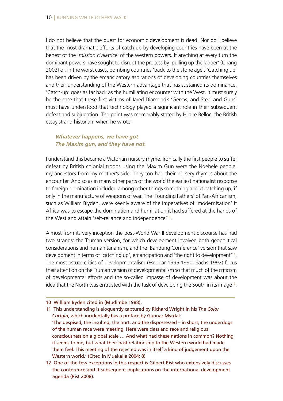I do not believe that the quest for economic development is dead. Nor do I believe that the most dramatic efforts of catch-up by developing countries have been at the behest of the '*mission civilatrice*' of the western powers. If anything at every turn the dominant powers have sought to disrupt the process by 'pulling up the ladder' (Chang 2002) or, in the worst cases, bombing countries 'back to the stone age'. 'Catching up' has been driven by the emancipatory aspirations of developing countries themselves and their understanding of the Western advantage that has sustained its dominance. 'Catch-up' goes as far back as the humiliating encounter with the West. It must surely be the case that these first victims of Jared Diamond's 'Germs, and Steel and Guns' must have understood that technology played a significant role in their subsequent defeat and subjugation. The point was memorably stated by Hilaire Belloc, the British essayist and historian, when he wrote:

#### *Whatever happens, we have got The Maxim gun, and they have not.*

I understand this became a Victorian nursery rhyme. Ironically the first people to suffer defeat by British colonial troops using the Maxim Gun were the Ndebele people, my ancestors from my mother's side. They too had their nursery rhymes about the encounter. And so as in many other parts of the world the earliest nationalist response to foreign domination included among other things something about catching up, if only in the manufacture of weapons of war. The 'Founding Fathers' of Pan-Africanism, such as William Blyden, were keenly aware of the imperatives of 'modernisation' if Africa was to escape the domination and humiliation it had suffered at the hands of the West and attain 'self-reliance and independence'**<sup>10</sup>**.

Almost from its very inception the post-World War II development discourse has had two strands: the Truman version, for which development involved both geopolitical considerations and humanitarianism, and the 'Bandung Conference' version that saw development in terms of 'catching up', emancipation and 'the right to development'**<sup>11</sup>**. The most astute critics of developmentalism (Escobar 1995,1990; Sachs 1992) focus their attention on the Truman version of developmentalism so that much of the criticism of developmental efforts and the so-called impasse of development was about the idea that the North was entrusted with the task of developing the South in its image**<sup>12</sup>**.

- 11 This understanding is eloquently captured by Richard Wright in his *The Color Curtain*, which incidentally has a preface by Gunnar Myrdal: 'The despised, the insulted, the hurt, and the dispossessed – in short, the underdogs of the human race were meeting. Here were class and race and religious consciousness on a global scale … And what had these nations in common? Nothing, it seems to me, but what their past relationship to the Western world had made them feel. This meeting of the rejected was in itself a kind of judgement upon the Western world.' (Cited in Muekalia 2004: 8)
- 12 One of the few exceptions in this respect is Gilbert Rist who extensively discusses the conference and it subsequent implications on the international development agenda (Rist 2008).

<sup>10</sup> William Byden cited in (Mudimbe 1988).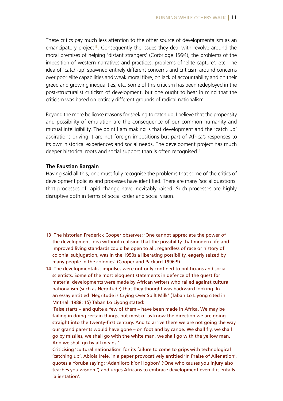These critics pay much less attention to the other source of developmentalism as an emancipatory project**<sup>13</sup>**. Consequently the issues they deal with revolve around the moral premises of helping 'distant strangers' (Corbridge 1994), the problems of the imposition of western narratives and practices, problems of 'elite capture', etc. The idea of 'catch-up' spawned entirely different concerns and criticism around concerns over poor elite capabilities and weak moral fibre, on lack of accountability and on their greed and growing inequalities, etc. Some of this criticism has been redeployed in the post-structuralist criticism of development, but one ought to bear in mind that the criticism was based on entirely different grounds of radical nationalism.

Beyond the more bellicose reasons for seeking to catch up, I believe that the propensity and possibility of emulation are the consequence of our common humanity and mutual intelligibility. The point I am making is that development and the 'catch up' aspirations driving it are not foreign impositions but part of Africa's responses to its own historical experiences and social needs. The development project has much deeper historical roots and social support than is often recognised**<sup>14</sup>**.

#### **The Faustian Bargain**

Having said all this, one must fully recognise the problems that some of the critics of development policies and processes have identified. There are many 'social questions' that processes of rapid change have inevitably raised. Such processes are highly disruptive both in terms of social order and social vision.

- 13 The historian Frederick Cooper observes: 'One cannot appreciate the power of the development idea without realising that the possibility that modern life and improved living standards could be open to all, regardless of race or history of colonial subjugation, was in the 1950s a liberating possibility, eagerly seized by many people in the colonies' (Cooper and Packard 1996:9).
- 14 The developmentalist impulses were not only confined to politicians and social scientists. Some of the most eloquent statements in defence of the quest for material developments were made by African writers who railed against cultural nationalism (such as Negritude) that they thought was backward looking. In an essay entitled 'Negritude is Crying Over Spilt Milk' (Taban Lo Liyong cited in Mnthali 1988: 15) Taban Lo Liyong stated:

'False starts – and quite a few of them – have been made in Africa. We may be failing in doing certain things, but most of us know the direction we are going – straight into the twenty-first century. And to arrive there we are not going the way our grand parents would have gone – on foot and by canoe. We shall fly, we shall go by missiles, we shall go with the white man, we shall go with the yellow man. And we shall go by all means.'

Criticising 'cultural nationalism' for its failure to come to grips with technological 'catching up', Abiola Irele, in a paper provocatively entitled 'In Praise of Alienation', quotes a Yoruba saying: 'Adaniloro k'oni logbon' ('One who causes you injury also teaches you wisdom') and urges Africans to embrace development even if it entails 'alientation'.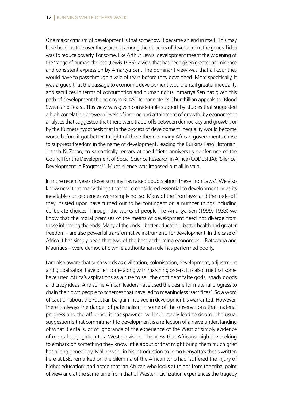#### 12 | RUNNING WHILE OTHERS WALK

One major criticism of development is that somehow it became an end in itself. This may have become true over the years but among the pioneers of development the general idea was to reduce poverty. For some, like Arthur Lewis, development meant the widening of the 'range of human choices' (Lewis 1955), a view that has been given greater prominence and consistent expression by Amartya Sen. The dominant view was that all countries would have to pass through a vale of tears before they developed. More specifically, it was argued that the passage to economic development would entail greater inequality and sacrifices in terms of consumption and human rights. Amartya Sen has given this path of development the acronym BLAST to connote its Churchillian appeals to 'Blood Sweat and Tears'. This view was given considerable support by studies that suggested a high correlation between levels of income and attainment of growth, by econometric analyses that suggested that there were trade-offs between democracy and growth, or by the Kuznets hypothesis that in the process of development inequality would become worse before it got better. In light of these theories many African governments chose to suppress freedom in the name of development, leading the Burkina Faso Historian, Jospeh Ki Zerbo, to sarcastically remark at the fiftieth anniversary conference of the Council for the Development of Social Science Research in Africa (CODESRIA): 'Silence: Development in Progress!'. Much silence was imposed but all in vain.

In more recent years closer scrutiny has raised doubts about these 'Iron Laws'. We also know now that many things that were considered essential to development or as its inevitable consequences were simply not so. Many of the 'iron laws' and the trade-off they insisted upon have turned out to be contingent on a number things including deliberate choices. Through the works of people like Amartya Sen (1999: 1933) we know that the moral premises of the means of development need not diverge from those informing the ends. Many of the ends – better education, better health and greater freedom – are also powerful transformative instruments for development. In the case of Africa it has simply been that two of the best performing economies – Botswana and Mauritius – were democratic while authoritarian rule has performed poorly.

I am also aware that such words as civilisation, colonisation, development, adjustment and globalisation have often come along with marching orders. It is also true that some have used Africa's aspirations as a ruse to sell the continent false gods, shady goods and crazy ideas. And some African leaders have used the desire for material progress to chain their own people to schemes that have led to meaningless 'sacrifices'. So a word of caution about the Faustian bargain involved in development is warranted. However, there is always the danger of paternalism in some of the observations that material progress and the affluence it has spawned will ineluctably lead to doom. The usual suggestion is that commitment to development is a reflection of a naive understanding of what it entails, or of ignorance of the experience of the West or simply evidence of mental subjugation to a Western vision. This view that Africans might be seeking to embark on something they know little about or that might bring them much grief has a long genealogy. Malinowski, in his introduction to Jomo Kenyatta's thesis written here at LSE, remarked on the dilemma of the African who had 'suffered the injury of higher education' and noted that 'an African who looks at things from the tribal point of view and at the same time from that of Western civilization experiences the tragedy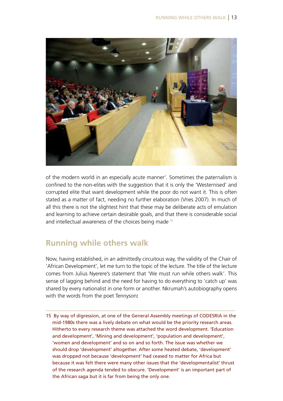

of the modern world in an especially acute manner'. Sometimes the paternalism is confined to the non-elites with the suggestion that it is only the 'Westernised' and corrupted elite that want development while the poor do not want it. This is often stated as a matter of fact, needing no further elaboration (Vries 2007). In much of all this there is not the slightest hint that these may be deliberate acts of emulation and learning to achieve certain desirable goals, and that there is considerable social and intellectual awareness of the choices being made**.15**

## **Running while others walk**

Now, having established, in an admittedly circuitous way, the validity of the Chair of 'African Development', let me turn to the topic of the lecture. The title of the lecture comes from Julius Nyerere's statement that 'We must run while others walk'. This sense of lagging behind and the need for having to do everything to 'catch up' was shared by every nationalist in one form or another. Nkrumah's autobiography opens with the words from the poet Tennyson**:**

15 By way of digression, at one of the General Assembly meetings of CODESRIA in the mid-1980s there was a lively debate on what would be the priority research areas. Hitherto to every research theme was attached the word development. 'Education and development', 'Mining and development', 'population and development', 'women and development' and so on and so forth. The issue was whether we should drop 'development' altogether. After some heated debate, 'development' was dropped not because 'development' had ceased to matter for Africa but because it was felt there were many other issues that the 'developmentalist' thrust of the research agenda tended to obscure. 'Development' is an important part of the African saga but it is far from being the only one.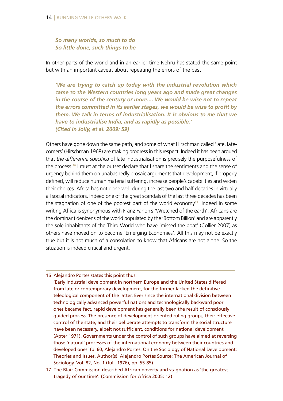*So many worlds, so much to do So little done, such things to be*

In other parts of the world and in an earlier time Nehru has stated the same point but with an important caveat about repeating the errors of the past.

*'We are trying to catch up today with the industrial revolution which came to the Western countries long years ago and made great changes in the course of the century or more.... We would be wise not to repeat the errors committed in its earlier stages, we would be wise to profit by them. We talk in terms of industrialisation. It is obvious to me that we have to industrialise India, and as rapidly as possible.' (Cited in Jolly, et al. 2009: 59)* 

Others have gone down the same path, and some of what Hirschman called 'late, latecomers' (Hirschman 1968) are making progress in this respect. Indeed it has been argued that *the differentia specifica* of late industrialisation is precisely the purposefulness of the process.**<sup>16</sup>** I must at the outset declare that I share the sentiments and the sense of urgency behind them on unabashedly prosaic arguments that development, if properly defined, will reduce human material suffering, increase people's capabilities and widen their choices. Africa has not done well during the last two and half decades in virtually all social indicators. Indeed one of the great scandals of the last three decades has been the stagnation of one of the poorest part of the world economy**<sup>17</sup>**. Indeed in some writing Africa is synonymous with Franz Fanon's 'Wretched of the earth'. Africans are the dominant denizens of the world populated by the 'Bottom Billion' and are apparently the sole inhabitants of the Third World who have 'missed the boat' (Collier 2007) as others have moved on to become 'Emerging Economies'. All this may not be exactly true but it is not much of a consolation to know that Africans are not alone. So the situation is indeed critical and urgent.

#### 16 Alejandro Portes states this point thus:

'Early industrial development in northern Europe and the United States differed from late or contemporary development, for the former lacked the definitive teleological component of the latter. Ever since the international division between technologically advanced powerful nations and technologically backward poor ones became fact, rapid development has generally been the result of consciously guided process. The presence of development-oriented ruling groups, their effective control of the state, and their deliberate attempts to transform the social structure have been necessary, albeit not sufficient, conditions for national development (Apter 1971). Governments under the control of such groups have aimed at reversing those 'natural' processes of the international economy between their countries and developed ones' (p. 60, Alejandro Portes: On the Sociology of National Development: Theories and Issues. Author(s): Alejandro Portes Source: The American Journal of Sociology, Vol. 82, No. 1 (Jul., 1976), pp. 55-85).

<sup>17</sup> The Blair Commission described African poverty and stagnation as 'the greatest tragedy of our time'. (Commission for Africa 2005: 12)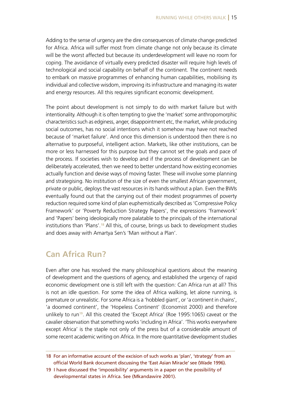Adding to the sense of urgency are the dire consequences of climate change predicted for Africa. Africa will suffer most from climate change not only because its climate will be the worst affected but because its underdevelopment will leave no room for coping. The avoidance of virtually every predicted disaster will require high levels of technological and social capability on behalf of the continent. The continent needs to embark on massive programmes of enhancing human capabilities, mobilising its individual and collective wisdom, improving its infrastructure and managing its water and energy resources. All this requires significant economic development.

The point about development is not simply to do with market failure but with intentionality. Although it is often tempting to give the 'market' some anthropomorphic characteristics such as edginess, anger, disappointment etc, the market, while producing social outcomes, has no social intentions which it somehow may have not reached because of 'market failure'. And once this dimension is understood then there is no alternative to purposeful, intelligent action. Markets, like other institutions, can be more or less harnessed for this purpose but they cannot set the goals and pace of the process. If societies wish to develop and if the process of development can be deliberately accelerated, then we need to better understand how existing economies actually function and devise ways of moving faster. These will involve some planning and strategising. No institution of the size of even the smallest African government, private or public, deploys the vast resources in its hands without a plan. Even the BWIs eventually found out that the carrying out of their modest programmes of poverty reduction required some kind of plan euphemistically described as 'Compressive Policy Framework' or 'Poverty Reduction Strategy Papers', the expressions 'framework' and 'Papers' being ideologically more palatable to the principals of the international institutions than 'Plans'.**<sup>18</sup>** All this, of course, brings us back to development studies and does away with Amartya Sen's 'Man without a Plan'.

### **Can Africa Run?**

Even after one has resolved the many philosophical questions about the meaning of development and the questions of agency, and established the urgency of rapid economic development one is still left with the question: Can Africa run at all? This is not an idle question. For some the idea of Africa walking, let alone running, is premature or unrealistic. For some Africa is a 'hobbled giant', or 'a continent in chains', 'a doomed continent', the 'Hopeless Continent' (Economist 2000) and therefore unlikely to run**<sup>19</sup>**. All this created the 'Except Africa' (Roe 1995:1065) caveat or the cavalier observation that something works 'including in Africa'. 'This works everywhere except Africa' is the staple not only of the press but of a considerable amount of some recent academic writing on Africa. In the more quantitative development studies

<sup>18</sup> For an informative account of the excision of such works as 'plan', 'strategy' from an official World Bank document discussing the 'East Asian Miracle' see (Wade 1996).

<sup>19</sup> I have discussed the 'impossibility' arguments in a paper on the possibility of developmental states in Africa. See (Mkandawire 2001).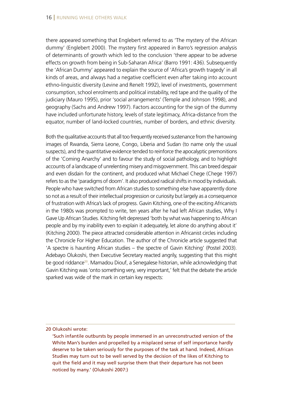there appeared something that Englebert referred to as 'The mystery of the African dummy' (Englebert 2000). The mystery first appeared in Barro's regression analysis of determinants of growth which led to the conclusion 'there appear to be adverse effects on growth from being in Sub-Saharan Africa' (Barro 1991: 436). Subsequently the 'African Dummy' appeared to explain the source of 'Africa's growth tragedy' in all kinds of areas, and always had a negative coefficient even after taking into account ethno-linguistic diversity (Levine and Renelt 1992), level of investments, government consumption, school enrolments and political instability, red tape and the quality of the judiciary (Mauro 1995), prior 'social arrangements' (Temple and Johnson 1998), and geography (Sachs and Andrew 1997). Factors accounting for the sign of the dummy have included unfortunate history, levels of state legitimacy, Africa-distance from the equator, number of land-locked countries, number of borders, and ethnic diversity.

Both the qualitative accounts that all too frequently received sustenance from the harrowing images of Rwanda, Sierra Leone, Congo, Liberia and Sudan (to name only the usual suspects), and the quantitative evidence tended to reinforce the apocalyptic premonitions of the 'Coming Anarchy' and to favour the study of social pathology, and to highlight accounts of a landscape of unrelenting misery and misgovernment. This can breed despair and even disdain for the continent, and produced what Michael Chege (Chege 1997) refers to as the 'paradigms of doom'. It also produced radical shifts in mood by individuals. People who have switched from African studies to something else have apparently done so not as a result of their intellectual progression or curiosity but largely as a consequence of frustration with Africa's lack of progress. Gavin Kitching, one of the exciting Africanists in the 1980s was prompted to write, ten years after he had left African studies, Why I Gave Up African Studies. Kitching felt depressed 'both by what was happening to African people and by my inability even to explain it adequately, let alone do anything about it' (Kitching 2000). The piece attracted considerable attention in Africanist circles including the Chronicle For Higher Education. The author of the Chronicle article suggested that 'A spectre is haunting African studies – the spectre of Gavin Kitching' (Postel 2003). Adebayo Olukoshi, then Executive Secretary reacted angrily, suggesting that this might be good riddance**<sup>20</sup>**. Mamadou Diouf, a Senegalese historian, while acknowledging that Gavin Kitching was 'onto something very, very important,' felt that the debate the article sparked was wide of the mark in certain key respects:

#### 20 Olukoshi wrote:

'Such infantile outbursts by people immersed in an unreconstructed version of the White Man's burden and propelled by a misplaced sense of self importance hardly deserve to be taken seriously for the purposes of the task at hand. Indeed, African Studies may turn out to be well served by the decision of the likes of Kitching to quit the field and it may well surprise them that their departure has not been noticed by many.' (Olukoshi 2007:)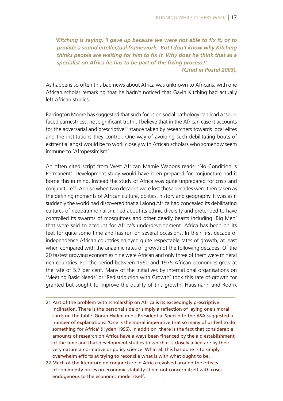*'Kitching is saying, 'I gave up because we were not able to fix it, or to provide a sound intellectual framework.' But I don't know why Kitching thinks people are waiting for him to fix it. Why does he think that as a specialist on Africa he has to be part of the fixing process?'* 

*(Cited in Postel 2003).*

As happens so often this bad news about Africa was unknown to Africans, with one African scholar remarking that he hadn't noticed that Gavin Kitching had actually left African studies.

Barrington Moore has suggested that such focus on social pathology can lead a 'sourfaced earnestness, not significant truth'. I believe that in the African case it accounts for the adversarial and prescriptive**<sup>21</sup>** stance taken by researchers towards local elites and the institutions they control. One way of avoiding such debilitating bouts of existential angst would be to work closely with African scholars who somehow seem immune to 'Afropessimism'.

An often cited script from West African Mamie Wagons reads: 'No Condition Is Permanent'. Development study would have been prepared for conjuncture had it borne this in mind. Instead the study of Africa was quite unprepared for crisis and conjuncture**<sup>22</sup>**. And so when two decades were lost these decades were then taken as the defining moments of African culture, politics, history and geography. It was as if suddenly the world had discovered that all along Africa had concealed its debilitating cultures of neopatrimonialism, lied about its ethnic diversity and pretended to have controlled its swarms of mosquitoes and other deadly beasts including 'Big Men' that were said to account for Africa's underdevelopment. Africa has been on its feet for quite some time and has run on several occasions. In their first decade of independence African countries enjoyed quite respectable rates of growth, at least when compared with the anaemic rates of growth of the following decades. Of the 20 fastest growing economies nine were African and only three of them were mineral rich countries. For the period between 1960 and 1975 African economies grew at the rate of 5.7 per cent. Many of the initiatives by international organisations on 'Meeting Basic Needs' or 'Redistribution with Growth' took this rate of growth for granted but sought to improve the quality of this growth. Hausmann and Rodrik

- 21 Part of the problem with scholarship on Africa is its exceedingly prescriptive inclination. There is the personal side or simply a reflection of laying one's moral cards on the table. Goran Hyden in his Presidential Speech to the ASA suggested a number of explanations: 'One is the moral imperative that so many of us feel to do something for Africa' (Hyden 1996). In addition, there is the fact that considerable amounts of research on Africa have always been financed by the aid establishment of the time and that development studies to which it is closely allied are by their very nature a normative or policy science. What all this has done is to simply overwhelm efforts at trying to reconcile what is with what ought to be.
- 22 Much of the literature on conjuncture in Africa revolved around the effects of commodity prices on economic stability. It did not concern itself with crises endogenous to the economic model itself.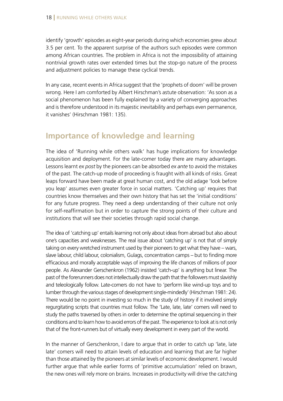identify 'growth' episodes as eight-year periods during which economies grew about 3.5 per cent. To the apparent surprise of the authors such episodes were common among African countries. The problem in Africa is not the impossibility of attaining nontrivial growth rates over extended times but the stop-go nature of the process and adjustment policies to manage these cyclical trends.

In any case, recent events in Africa suggest that the 'prophets of doom' will be proven wrong. Here I am comforted by Albert Hirschman's astute observation: 'As soon as a social phenomenon has been fully explained by a variety of converging approaches and is therefore understood in its majestic inevitability and perhaps even permanence, it vanishes' (Hirschman 1981: 135).

## **Importance of knowledge and learning**

The idea of 'Running while others walk' has huge implications for knowledge acquisition and deployment. For the late-comer today there are many advantages. Lessons learnt *ex post* by the pioneers can be absorbed *ex ante* to avoid the mistakes of the past. The catch-up mode of proceeding is fraught with all kinds of risks. Great leaps forward have been made at great human cost, and the old adage 'look before you leap' assumes even greater force in social matters. 'Catching up' requires that countries know themselves and their own history that has set the 'initial conditions' for any future progress. They need a deep understanding of their culture not only for self-reaffirmation but in order to capture the strong points of their culture and institutions that will see their societies through rapid social change.

The idea of 'catching up' entails learning not only about ideas from abroad but also about one's capacities and weaknesses. The real issue about 'catching up' is not that of simply taking on every wretched instrument used by their pioneers to get what they have – wars, slave labour, child labour, colonialism, Gulags, concentration camps – but to finding more efficacious and morally acceptable ways of improving the life chances of millions of poor people. As Alexander Gerschenkron (1962) insisted 'catch-up' is anything but linear. The past of the forerunners does not intellectually draw the path that the followers must slavishly and teleologically follow. Late-comers do not have to 'perform like wind-up toys and to lumber through the various stages of development single-mindedly' (Hirschman 1981: 24). There would be no point in investing so much in the study of history if it involved simply regurgitating scripts that countries must follow. The 'Late, late, late' comers will need to study the paths traversed by others in order to determine the optimal sequencing in their conditions and to learn how to avoid errors of the past. The experience to look at is not only that of the front-runners but of virtually every development in every part of the world.

In the manner of Gerschenkron, I dare to argue that in order to catch up 'late, late late' comers will need to attain levels of education and learning that are far higher than those attained by the pioneers at similar levels of economic development. I would further argue that while earlier forms of 'primitive accumulation' relied on brawn, the new ones will rely more on brains. Increases in productivity will drive the catching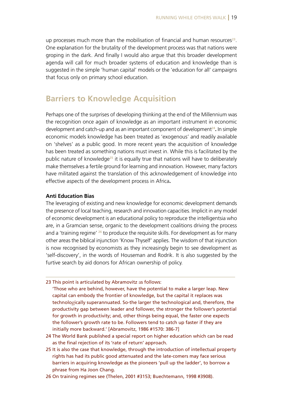up processes much more than the mobilisation of financial and human resources**<sup>23</sup>**. One explanation for the brutality of the development process was that nations were groping in the dark. And finally I would also argue that this broader development agenda will call for much broader systems of education and knowledge than is suggested in the simple 'human capital' models or the 'education for all' campaigns that focus only on primary school education.

### **Barriers to Knowledge Acquisition**

Perhaps one of the surprises of developing thinking at the end of the Millennium was the recognition once again of knowledge as an important instrument in economic development and catch-up and as an important component of development**24.** In simple economic models knowledge has been treated as 'exogenous' and readily available on 'shelves' as a public good. In more recent years the acquisition of knowledge has been treated as something nations must invest in. While this is facilitated by the public nature of knowledge**<sup>25</sup>** it is equally true that nations will have to deliberately make themselves a fertile ground for learning and innovation. However, many factors have militated against the translation of this acknowledgement of knowledge into effective aspects of the development process in Africa**.**

#### **Anti Education Bias**

The leveraging of existing and new knowledge for economic development demands the presence of local teaching, research and innovation capacities. Implicit in any model of economic development is an educational policy to reproduce the intelligentsia who are, in a Gramcian sense, organic to the development coalitions driving the process and a 'training regime' **<sup>26</sup>** to produce the requisite skills. For development as for many other areas the biblical injunction 'Know Thyself' applies. The wisdom of that injunction is now recognised by economists as they increasingly begin to see development as 'self-discovery', in the words of Houseman and Rodrik. It is also suggested by the furtive search by aid donors for African ownership of policy.

23 This point is articulated by Abramovitz as follows:

'Those who are behind, however, have the potential to make a larger leap. New capital can embody the frontier of knowledge, but the capital it replaces was technologically superannuated. So-the larger the technological and, therefore, the productivity gap between leader and follower, the stronger the follower's potential for growth in productivity; and, other things being equal, the faster one expects the follower's growth rate to be. Followers tend to catch up faster if they are initially more backward.' [Abramovitz, 1986 #1570: 386-7]

- 24 The World Bank published a special report on higher education which can be read as the final rejection of its 'rate of return' approach.
- 25 It is also the case that knowledge, through the introduction of intellectual property rights has had its public good attenuated and the late-comers may face serious barriers in acquiring knowledge as the pioneers 'pull up the ladder', to borrow a phrase from Ha Joon Chang.
- 26 On training regimes see (Thelen, 2001 #3153; Buechtemann, 1998 #3908).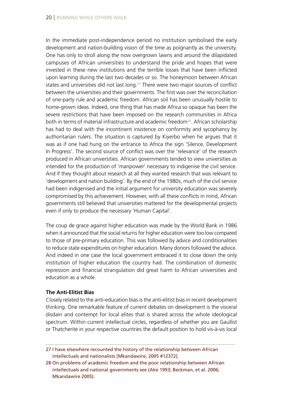In the immediate post-independence period no institution symbolised the early development and nation-building vision of the time as poignantly as the university. One has only to stroll along the now overgrown lawns and around the dilapidated campuses of African universities to understand the pride and hopes that were invested in these new institutions and the terrible losses that have been inflicted upon learning during the last two decades or so. The honeymoon between African states and universities did not last long.**<sup>27</sup>** There were two major sources of conflict between the universities and their governments. The first was over the reconciliation of one-party rule and academic freedom. African soil has been unusually hostile to home-grown ideas. Indeed, one thing that has made Africa so opaque has been the severe restrictions that have been imposed on the research communities in Africa both in terms of material infrastructure and academic freedom**<sup>28</sup>**. African scholarship has had to deal with the incontinent insistence on conformity and sycophancy by authoritarian rulers. The situation is captured by Kiyerbo when he argues that it was as if one had hung on the entrance to Africa the sign 'Silence, Development In Progress'. The second source of conflict was over the 'relevance' of the research produced in African universities. African governments tended to view universities as intended for the production of 'manpower' necessary to indigenise the civil service. And if they thought about research at all they wanted research that was relevant to 'development and nation building'. By the end of the 1980s, much of the civil service had been indigenised and the initial argument for university education was severely compromised by this achievement. However, with all these conflicts in mind, African governments still believed that universities mattered for the developmental projects even if only to produce the necessary 'Human Capital'.

The coup de grace against higher education was made by the World Bank in 1986 when it announced that the social returns for higher education were too low compared to those of pre-primary education. This was followed by advice and conditionalities to reduce state expenditures on higher education. Many donors followed the advice. And indeed in one case the local government embraced it to close down the only institution of higher education the country had. The combination of domestic repression and financial strangulation did great harm to African universities and education as a whole.

#### **The Anti-Elitist Bias**

Closely related to the anti-education bias is the anti-elitist bias in recent development thinking. One remarkable feature of current debates on development is the visceral disdain and contempt for local elites that is shared across the whole ideological spectrum. Within current intellectual circles, regardless of whether you are Gaullist or Thatcherite in your respective countries the default position to hold vis-à-vis local

<sup>27</sup> I have elsewhere recounted the history of the relationship between African intellectuals and nationalists [Mkandawire, 2005 #12372].

<sup>28</sup> On problems of academic freedom and the poor relationship between African intellectuals and national governments see (Ake 1993; Beckman, et al. 2006; Mkandawire 2005).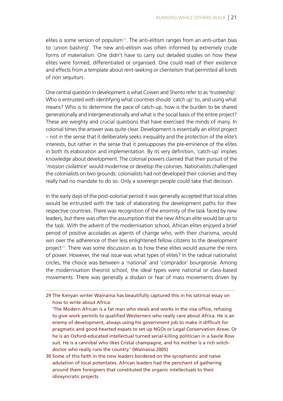elites is some version of populism**<sup>29</sup>**. The anti-elitism ranges from an anti-urban bias to 'union bashing'. The new anti-elitism was often informed by extremely crude forms of materialism. One didn't have to carry out detailed studies on how these elites were formed, differentiated or organised. One could read of their existence and effects from a template about rent-seeking or clientelism that permitted all kinds of non sequiturs.

One central question in development is what Cowen and Shento refer to as 'trusteeship'. Who is entrusted with identifying what countries should 'catch up' to, and using what means? Who is to determine the pace of catch-up, how is the burden to be shared generationally and intergenerationally and what is the social basis of the entire project? These are weighty and crucial questions that have exercised the minds of many. In colonial times the answer was quite clear. Development is essentially an elitist project – not in the sense that it deliberately seeks inequality and the protection of the elite's interests, but rather in the sense that it presupposes the pre-eminence of the elites in both its elaboration and implementation. By its very definition, 'catch-up' implies knowledge about development. The colonial powers claimed that their pursuit of the '*mission civilatrice*' would modernise or develop the colonies. Nationalists challenged the colonialists on two grounds: colonialists had not developed their colonies and they really had no mandate to do so. Only a sovereign people could take that decision.

In the early days of the post-colonial period it was generally accepted that local elites would be entrusted with the task of elaborating the development paths for their respective countries. There was recognition of the enormity of the task faced by new leaders, but there was often the assumption that the new African elite would be up to the task. With the advent of the modernisation school, African elites enjoyed a brief period of positive accolades as agents of change who, with their charisma, would win over the adherence of their less enlightened fellow citizens to the development project**<sup>30</sup>**. There was some discussion as to how these elites would assume the reins of power. However, the real issue was what types of elites? In the radical nationalist circles, the choice was between a 'national' and 'comprador' bourgeoisie. Among the modernisation theorist school, the ideal types were national or class-based movements. There was generally a disdain or fear of mass movements driven by

'The Modern African is a fat man who steals and works in the visa office, refusing to give work permits to qualified Westerners who really care about Africa. He is an enemy of development, always using his government job to make it difficult for pragmatic and good-hearted expats to set up NGOs or Legal Conservation Areas. Or he is an Oxford-educated intellectual turned serial-killing politician in a Savile Row suit. He is a cannibal who likes Cristal champagne, and his mother is a rich witchdoctor who really runs the country.' (Wainaina 2005)

30 Some of this faith in the new leaders bordered on the sycophantic and naïve adulation of local potentates. African leaders had the penchant of gathering around them foreigners that constituted the organic intellectuals to their idiosyncratic projects.

<sup>29</sup> The Kenyan writer Wainaina has beautifully captured this in his satirical essay on how to write about Africa: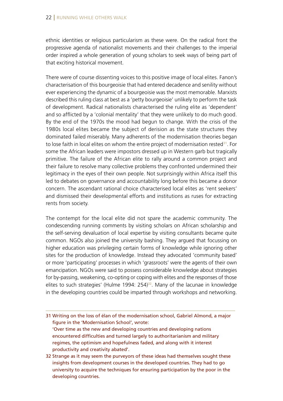ethnic identities or religious particularism as these were. On the radical front the progressive agenda of nationalist movements and their challenges to the imperial order inspired a whole generation of young scholars to seek ways of being part of that exciting historical movement.

There were of course dissenting voices to this positive image of local elites. Fanon's characterisation of this bourgeoisie that had entered decadence and senility without ever experiencing the dynamic of a bourgeoisie was the most memorable. Marxists described this ruling class at best as a 'petty bourgeoisie' unlikely to perform the task of development. Radical nationalists characterised the ruling elite as 'dependent' and so afflicted by a 'colonial mentality' that they were unlikely to do much good. By the end of the 1970s the mood had begun to change. With the crisis of the 1980s local elites became the subject of derision as the state structures they dominated failed miserably. Many adherents of the modernisation theories began to lose faith in local elites on whom the entire project of modernisation rested**<sup>31</sup>**. For some the African leaders were impostors dressed up in Western garb but tragically primitive. The failure of the African elite to rally around a common project and their failure to resolve many collective problems they confronted undermined their legitimacy in the eyes of their own people. Not surprisingly within Africa itself this led to debates on governance and accountability long before this became a donor concern. The ascendant rational choice characterised local elites as 'rent seekers' and dismissed their developmental efforts and institutions as ruses for extracting rents from society.

The contempt for the local elite did not spare the academic community. The condescending running comments by visiting scholars on African scholarship and the self-serving devaluation of local expertise by visiting consultants became quite common. NGOs also joined the university bashing. They argued that focussing on higher education was privileging certain forms of knowledge while ignoring other sites for the production of knowledge. Instead they advocated 'community based' or more 'participating' processes in which 'grassroots' were the agents of their own emancipation. NGOs were said to possess considerable knowledge about strategies for by-passing, weakening, co-opting or coping with elites and the responses of those elites to such strategies' (Hulme 1994: 254)**<sup>32</sup>**. Many of the lacunae in knowledge in the developing countries could be imparted through workshops and networking.

- 31 Writing on the loss of élan of the modernisation school, Gabriel Almond, a major figure in the 'Modernisation School', wrote: 'Over time as the new and developing countries and developing nations encountered difficulties and turned largely to authoritarianism and military regimes, the optimism and hopefulness faded, and along with it interest productivity and creativity abated'.
- 32 Strange as it may seem the purveyors of these ideas had themselves sought these insights from development courses in the developed countries. They had to go university to acquire the techniques for ensuring participation by the poor in the developing countries.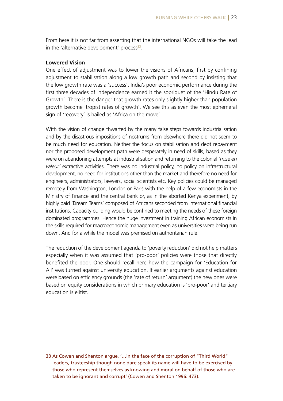From here it is not far from asserting that the international NGOs will take the lead in the 'alternative development' process**<sup>33</sup>**.

#### **Lowered Vision**

One effect of adjustment was to lower the visions of Africans, first by confining adjustment to stabilisation along a low growth path and second by insisting that the low growth rate was a 'success'. India's poor economic performance during the first three decades of independence earned it the sobriquet of the 'Hindu Rate of Growth'. There is the danger that growth rates only slightly higher than population growth become 'tropist rates of growth'. We see this as even the most ephemeral sign of 'recovery' is hailed as 'Africa on the move'.

With the vision of change thwarted by the many false steps towards industrialisation and by the disastrous impositions of nostrums from elsewhere there did not seem to be much need for education. Neither the focus on stabilisation and debt repayment nor the proposed development path were desperately in need of skills, based as they were on abandoning attempts at industrialisation and returning to the colonial *'mise en valeur'* extractive activities. There was no industrial policy, no policy on infrastructural development, no need for institutions other than the market and therefore no need for engineers, administrators, lawyers, social scientists etc. Key policies could be managed remotely from Washington, London or Paris with the help of a few economists in the Ministry of Finance and the central bank or, as in the aborted Kenya experiment, by highly paid 'Dream Teams' composed of Africans seconded from international financial institutions. Capacity building would be confined to meeting the needs of these foreign dominated programmes. Hence the huge investment in training African economists in the skills required for macroeconomic management even as universities were being run down. And for a while the model was premised on authoritarian rule.

The reduction of the development agenda to 'poverty reduction' did not help matters especially when it was assumed that 'pro-poor' policies were those that directly benefited the poor. One should recall here how the campaign for 'Education for All' was turned against university education. If earlier arguments against education were based on efficiency grounds (the 'rate of return' argument) the new ones were based on equity considerations in which primary education is 'pro-poor' and tertiary education is elitist.

<sup>33</sup> As Cowen and Shenton argue, '…in the face of the corruption of "Third World" leaders, trusteeship though none dare speak its name will have to be exercised by those who represent themselves as knowing and moral on behalf of those who are taken to be ignorant and corrupt' (Cowen and Shenton 1996: 473).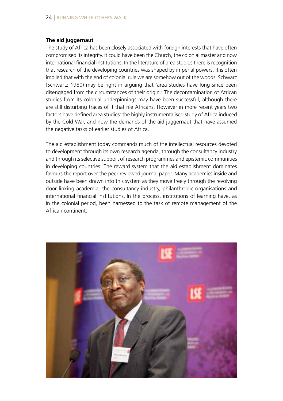#### **The aid juggernaut**

The study of Africa has been closely associated with foreign interests that have often compromised its integrity. It could have been the Church, the colonial master and now international financial institutions. In the literature of area studies there is recognition that research of the developing countries was shaped by imperial powers. It is often implied that with the end of colonial rule we are somehow out of the woods. Schwarz (Schwartz 1980) may be right in arguing that 'area studies have long since been disengaged from the circumstances of their origin.' The decontamination of African studies from its colonial underpinnings may have been successful, although there are still disturbing traces of it that rile Africans. However in more recent years two factors have defined area studies: the highly instrumentalised study of Africa induced by the Cold War, and now the demands of the aid juggernaut that have assumed the negative tasks of earlier studies of Africa.

The aid establishment today commands much of the intellectual resources devoted to development through its own research agenda, through the consultancy industry and through its selective support of research programmes and epistemic communities in developing countries. The reward system that the aid establishment dominates favours the report over the peer reviewed journal paper. Many academics inside and outside have been drawn into this system as they move freely through the revolving door linking academia, the consultancy industry, philanthropic organisations and international financial institutions. In the process, institutions of learning have, as in the colonial period, been harnessed to the task of remote management of the African continent.

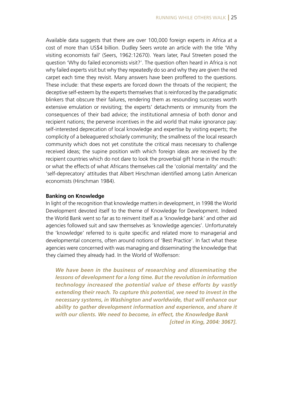Available data suggests that there are over 100,000 foreign experts in Africa at a cost of more than US\$4 billion. Dudley Seers wrote an article with the title 'Why visiting economists fail' (Seers, 1962:12670). Years later, Paul Streeten posed the question 'Why do failed economists visit?'. The question often heard in Africa is not why failed experts visit but why they repeatedly do so and why they are given the red carpet each time they revisit. Many answers have been proffered to the questions. These include: that these experts are forced down the throats of the recipient; the deceptive self-esteem by the experts themselves that is reinforced by the paradigmatic blinkers that obscure their failures, rendering them as resounding successes worth extensive emulation or revisiting; the experts' detachments or immunity from the consequences of their bad advice; the institutional amnesia of both donor and recipient nations; the perverse incentives in the aid world that make ignorance pay: self-interested deprecation of local knowledge and expertise by visiting experts; the complicity of a beleaguered scholarly community; the smallness of the local research community which does not yet constitute the critical mass necessary to challenge received ideas; the supine position with which foreign ideas are received by the recipient countries which do not dare to look the proverbial gift horse in the mouth: or what the effects of what Africans themselves call the 'colonial mentality' and the 'self-deprecatory' attitudes that Albert Hirschman identified among Latin American economists (Hirschman 1984).

#### **Banking on Knowledge**

In light of the recognition that knowledge matters in development, in 1998 the World Development devoted itself to the theme of Knowledge for Development. Indeed the World Bank went so far as to reinvent itself as a 'knowledge bank' and other aid agencies followed suit and saw themselves as 'knowledge agencies'. Unfortunately the 'knowledge' referred to is quite specific and related more to managerial and developmental concerns, often around notions of 'Best Practice'. In fact what these agencies were concerned with was managing and disseminating the knowledge that they claimed they already had. In the World of Wolfenson:

*We have been in the business of researching and disseminating the lessons of development for a long time. But the revolution in information technology increased the potential value of these efforts by vastly extending their reach. To capture this potential, we need to invest in the necessary systems, in Washington and worldwide, that will enhance our ability to gather development information and experience, and share it with our clients. We need to become, in effect, the Knowledge Bank [cited in King, 2004: 3067].*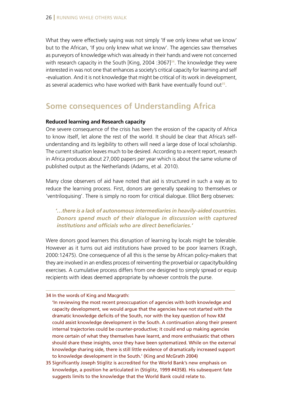What they were effectively saying was not simply 'If we only knew what we know' but to the African, 'If you only knew what we know'. The agencies saw themselves as purveyors of knowledge which was already in their hands and were not concerned with research capacity in the South [King, 2004 :3067]**<sup>34</sup>**. The knowledge they were interested in was not one that enhances a society's critical capacity for learning and self -evaluation. And it is not knowledge that might be critical of its work in development, as several academics who have worked with Bank have eventually found out**<sup>35</sup>**.

### **Some consequences of Understanding Africa**

#### **Reduced learning and Research capacity**

One severe consequence of the crisis has been the erosion of the capacity of Africa to know itself, let alone the rest of the world. It should be clear that Africa's selfunderstanding and its legibility to others will need a large dose of local scholarship. The current situation leaves much to be desired. According to a recent report, research in Africa produces about 27,000 papers per year which is about the same volume of published output as the Netherlands (Adams, et al. 2010).

Many close observers of aid have noted that aid is structured in such a way as to reduce the learning process. First, donors are generally speaking to themselves or 'ventriloquising'. There is simply no room for critical dialogue. Elliot Berg observes:

#### *'…there is a lack of autonomous intermediaries in heavily-aided countries. Donors spend much of their dialogue in discussion with captured institutions and officials who are direct beneficiaries.'*

Were donors good learners this disruption of learning by locals might be tolerable. However as it turns out aid institutions have proved to be poor learners (Kragh, 2000:12475). One consequence of all this is the sense by African policy-makers that they are involved in an endless process of reinventing the proverbial or capacity/building exercises. A cumulative process differs from one designed to simply spread or equip recipients with ideas deemed appropriate by whoever controls the purse.

#### 34 In the words of King and Macgrath:

- 'In reviewing the most recent preoccupation of agencies with both knowledge and capacity development, we would argue that the agencies have not started with the dramatic knowledge deficits of the South, nor with the key question of how KM could assist knowledge development in the South. A continuation along their present internal trajectories could be counter-productive; it could end up making agencies more certain of what they themselves have learnt, and more enthusiastic that others should share these insights, once they have been systematized. While on the external knowledge sharing side, there is still little evidence of dramatically increased support to knowledge development in the South.' (King and McGrath 2004)
- 35 Significantly Joseph Stiglitz is accredited for the World Bank's new emphasis on knowledge, a position he articulated in (Stiglitz, 1999 #4358). His subsequent fate suggests limits to the knowledge that the World Bank could relate to.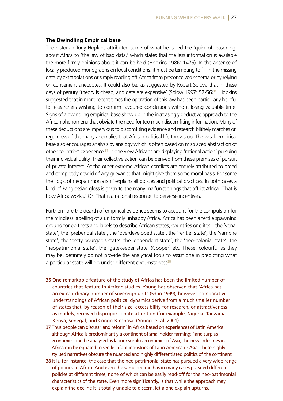#### **The Dwindling Empirical base**

The historian Tony Hopkins attributed some of what he called the 'quirk of reasoning' about Africa to 'the law of bad data,' which states that the less information is available the more firmly opinions about it can be held (Hopkins 1986: 1475)**.** In the absence of locally produced monographs on local conditions, it must be tempting to fill in the missing data by extrapolations or simply reading off Africa from preconceived schema or by relying on convenient anecdotes. It could also be, as suggested by Robert Solow, that in these days of penury 'theory is cheap, and data are expensive' (Solow 1997: 57-56)**<sup>36</sup>**. Hopkins suggested that in more recent times the operation of this law has been particularly helpful to researchers wishing to confirm favoured conclusions without losing valuable time. Signs of a dwindling empirical base show up in the increasingly deductive approach to the African phenomena that obviate the need for too much discomfiting information. Many of these deductions are impervious to discomfiting evidence and research blithely marches on regardless of the many anomalies that African political life throws up. The weak empirical base also encourages analysis by analogy which is often based on misplaced abstraction of other countries' experience.**<sup>37</sup>** In one view Africans are displaying 'rational action' pursuing their individual utility. Their collective action can be derived from these premises of pursuit of private interest. At the other extreme African conflicts are entirely attributed to greed and completely devoid of any grievance that might give them some moral basis. For some the 'logic of neopatrimonialism' explains all policies and political practices. In both cases a kind of Panglossian gloss is given to the many malfunctionings that afflict Africa. 'That is how Africa works.' Or 'That is a rational response' to perverse incentives.

Furthermore the dearth of empirical evidence seems to account for the compulsion for the mindless labelling of a uniformly unhappy Africa. Africa has been a fertile spawning ground for epithets and labels to describe African states, countries or elites – the 'venal state', the 'prebendal state', the 'overdeveloped state', the 'rentier state', the 'vampire state', the 'petty bourgeois state', the 'dependent state', the 'neo-colonial state', the 'neopatrimonial state', the 'gatekeeper state' (Cooper) etc. These, colourful as they may be, definitely do not provide the analytical tools to assist one in predicting what a particular state will do under different circumstances**<sup>38</sup>**.

- 36 One remarkable feature of the study of Africa has been the limited number of countries that feature in African studies. Young has observed that 'Africa has an extraordinary number of sovereign units (53 in 1999); however, comparative understandings of African political dynamics derive from a much smaller number of states that, by reason of their size, accessibility for research, or attractiveness as models, received disproportionate attention (for example, Nigeria, Tanzania, Kenya, Senegal, and Congo-Kinshasa' (Young, et al. 2001)
- 37 Thus people can discuss 'land reform' in Africa based on experiences of Latin America although Africa is predominantly a continent of smallholder farming; 'land surplus economies' can be analysed as labour surplus economies of Asia; the new industries in Africa can be equated to senile infant industries of Latin America or Asia. These highly stylised narratives obscure the nuanced and highly differentiated politics of the continent.
- 38 It is, for instance, the case that the neo-patrimonial state has pursued a very wide range of policies in Africa. And even the same regime has in many cases pursued different policies at different times, none of which can be easily read-off for the neo-patrimonial characteristics of the state. Even more significantly, is that while the approach may explain the decline it is totally unable to discern, let alone explain upturns.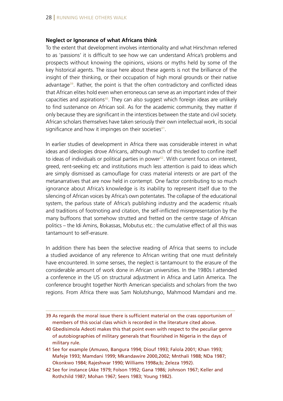#### **Neglect or Ignorance of what Africans think**

To the extent that development involves intentionality and what Hirschman referred to as 'passions' it is difficult to see how we can understand Africa's problems and prospects without knowing the opinions, visions or myths held by some of the key historical agents. The issue here about these agents is not the brilliance of the insight of their thinking, or their occupation of high moral grounds or their native advantage**<sup>39</sup>**. Rather, the point is that the often contradictory and conflicted ideas that African elites hold even when erroneous can serve as an important index of their capacities and aspirations**<sup>40</sup>**. They can also suggest which foreign ideas are unlikely to find sustenance on African soil. As for the academic community, they matter if only because they are significant in the interstices between the state and civil society. African scholars themselves have taken seriously their own intellectual work, its social significance and how it impinges on their societies**<sup>41</sup>**.

In earlier studies of development in Africa there was considerable interest in what ideas and ideologies drove Africans, although much of this tended to confine itself to ideas of individuals or political parties in power**<sup>42</sup>**. With current focus on interest, greed, rent-seeking etc and institutions much less attention is paid to ideas which are simply dismissed as camouflage for crass material interests or are part of the metanarratives that are now held in contempt. One factor contributing to so much ignorance about Africa's knowledge is its inability to represent itself due to the silencing of African voices by Africa's own potentates. The collapse of the educational system, the parlous state of Africa's publishing industry and the academic rituals and traditions of footnoting and citation, the self-inflicted misrepresentation by the many buffoons that somehow strutted and fretted on the centre stage of African politics – the Idi Amins, Bokassas, Mobutus etc.: the cumulative effect of all this was tantamount to self-erasure.

In addition there has been the selective reading of Africa that seems to include a studied avoidance of any reference to African writing that one must definitely have encountered. In some senses, the neglect is tantamount to the erasure of the considerable amount of work done in African universities. In the 1980s I attended a conference in the US on structural adjustment in Africa and Latin America. The conference brought together North American specialists and scholars from the two regions. From Africa there was Sam Nolutshungo, Mahmood Mamdani and me.

<sup>39</sup> As regards the moral issue there is sufficient material on the crass opportunism of members of this social class which is recorded in the literature cited above.

<sup>40</sup> Gbedisimola Adeoti makes this that point even with respect to the peculiar genre of autobiographies of military generals that flourished in Nigeria in the days of military rule.

<sup>41</sup> See for example (Amuwo, Bangura 1994; Diouf 1993; Falola 2001; Khan 1993; Mafeje 1993; Mamdani 1999; Mkandawire 2000,2002; Mnthali 1988; NDa 1987; Okonkwo 1984; Rajeshwar 1990; Williams 1998a;b; Zeleza 1992).

<sup>42</sup> See for instance (Ake 1979; Folson 1992; Gana 1986; Johnson 1967; Keller and Rothchild 1987; Mohan 1967; Seers 1983; Young 1982).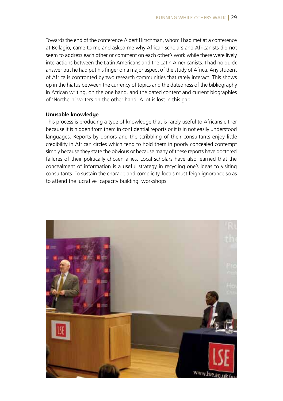Towards the end of the conference Albert Hirschman, whom I had met at a conference at Bellagio, came to me and asked me why African scholars and Africanists did not seem to address each other or comment on each other's work while there were lively interactions between the Latin Americans and the Latin Americanists. I had no quick answer but he had put his finger on a major aspect of the study of Africa. Any student of Africa is confronted by two research communities that rarely interact. This shows up in the hiatus between the currency of topics and the datedness of the bibliography in African writing, on the one hand, and the dated content and current biographies of 'Northern' writers on the other hand. A lot is lost in this gap.

#### **Unusable knowledge**

This process is producing a type of knowledge that is rarely useful to Africans either because it is hidden from them in confidential reports or it is in not easily understood languages. Reports by donors and the scribbling of their consultants enjoy little credibility in African circles which tend to hold them in poorly concealed contempt simply because they state the obvious or because many of these reports have doctored failures of their politically chosen allies. Local scholars have also learned that the concealment of information is a useful strategy in recycling one's ideas to visiting consultants. To sustain the charade and complicity, locals must feign ignorance so as to attend the lucrative 'capacity building' workshops.

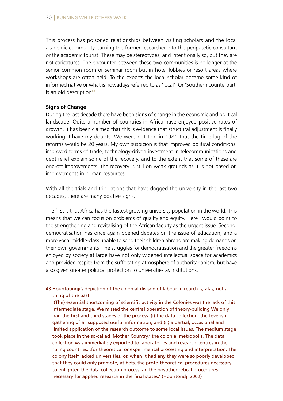This process has poisoned relationships between visiting scholars and the local academic community, turning the former researcher into the peripatetic consultant or the academic tourist. These may be stereotypes, and intentionally so, but they are not caricatures. The encounter between these two communities is no longer at the senior common room or seminar room but in hotel lobbies or resort areas where workshops are often held. To the experts the local scholar became some kind of informed native or what is nowadays referred to as 'local'. Or 'Southern counterpart' is an old description**<sup>43</sup>**.

#### **Signs of Change**

During the last decade there have been signs of change in the economic and political landscape. Quite a number of countries in Africa have enjoyed positive rates of growth. It has been claimed that this is evidence that structural adjustment is finally working. I have my doubts. We were not told in 1981 that the time lag of the reforms would be 20 years. My own suspicion is that improved political conditions, improved terms of trade, technology-driven investment in telecommunications and debt relief explain some of the recovery, and to the extent that some of these are one-off improvements, the recovery is still on weak grounds as it is not based on improvements in human resources.

With all the trials and tribulations that have dogged the university in the last two decades, there are many positive signs.

The first is that Africa has the fastest growing university population in the world. This means that we can focus on problems of quality and equity. Here I would point to the strengthening and revitalising of the African faculty as the urgent issue. Second, democratisation has once again opened debates on the issue of education, and a more vocal middle-class unable to send their children abroad are making demands on their own governments. The struggles for democratisation and the greater freedoms enjoyed by society at large have not only widened intellectual space for academics and provided respite from the suffocating atmosphere of authoritarianism, but have also given greater political protection to universities as institutions.

43 Hountoungji's depiction of the colonial divison of labour in rearch is, alas, not a thing of the past:

'(The) essential shortcoming of scientific activity in the Colonies was the lack of this intermediate stage. We missed the central operation of theory-building We only had the first and third stages of the process: (i) the data collection, the feverish gathering of all supposed useful information, and (ii) a partial, occasional and limited application of the research outcome to some local issues. The medium stage took place in the so-called 'Mother Country,' the colonial metropolis. The data collection was immediately exported to laboratories and research centres in the ruling countries...for theoretical or experimental processing and interpretation. The colony itself lacked universities, or, when it had any they were so poorly developed that they could only promote, at bets, the proto-theoretical procedures necessary to enlighten the data collection process, an the post/theoretical procedures necessary for applied research in the final states.' (Hountondji 2002)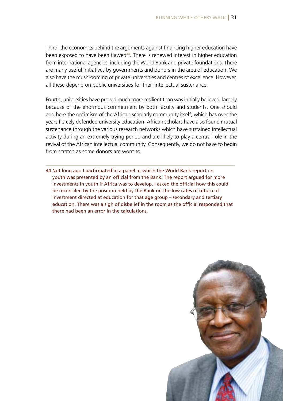Third, the economics behind the arguments against financing higher education have been exposed to have been flawed**<sup>44</sup>**. There is renewed interest in higher education from international agencies, including the World Bank and private foundations. There are many useful initiatives by governments and donors in the area of education. We also have the mushrooming of private universities and centres of excellence. However, all these depend on public universities for their intellectual sustenance.

Fourth, universities have proved much more resilient than was initially believed, largely because of the enormous commitment by both faculty and students. One should add here the optimism of the African scholarly community itself, which has over the years fiercely defended university education. African scholars have also found mutual sustenance through the various research networks which have sustained intellectual activity during an extremely trying period and are likely to play a central role in the revival of the African intellectual community. Consequently, we do not have to begin from scratch as some donors are wont to.

44 Not long ago I participated in a panel at which the World Bank report on youth was presented by an official from the Bank. The report argued for more investments in youth if Africa was to develop. I asked the official how this could be reconciled by the position held by the Bank on the low rates of return of investment directed at education for that age group – secondary and tertiary education. There was a sigh of disbelief in the room as the official responded that there had been an error in the calculations.

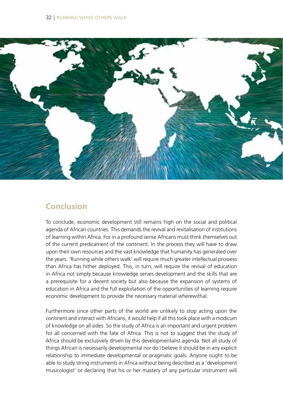

## **Conclusion**

To conclude, economic development still remains high on the social and political agenda of African countries. This demands the revival and revitalisation of institutions of learning within Africa. For in a profound sense Africans must think themselves out of the current predicament of the continent. In the process they will have to draw upon their own resources and the vast knowledge that humanity has generated over the years. 'Running while others walk' will require much greater intellectual prowess than Africa has hither deployed. This, in turn, will require the revival of education in Africa not simply because knowledge serves development and the skills that are a prerequisite for a decent society but also because the expansion of systems of education in Africa and the full exploitation of the opportunities of learning require economic development to provide the necessary material wherewithal.

Furthermore since other parts of the world are unlikely to stop acting upon the continent and interact with Africans, it would help if all this took place with a modicum of knowledge on all sides. So the study of Africa is an important and urgent problem for all concerned with the fate of Africa. This is not to suggest that the study of Africa should be exclusively driven by this developmentalist agenda. Not all study of things African is necessarily developmental nor do I believe it should be in any explicit relationship to immediate developmental or pragmatic goals. Anyone ought to be able to study string instruments in Africa without being described as a 'development musicologist' or declaring that his or her mastery of any particular instrument will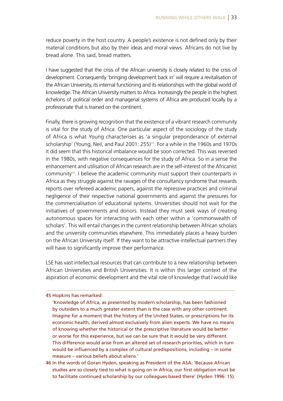reduce poverty in the host country. A people's existence is not defined only by their material conditions but also by their ideas and moral views. Africans do not live by bread alone. This said, bread matters.

I have suggested that the crisis of the African university is closely related to the crisis of development. Consequently 'bringing development back in' will require a revitalisation of the African University, its internal functioning and its relationships with the global world of knowledge. The African University matters to Africa. Increasingly the people in the highest échelons of political order and managerial systems of Africa are produced locally by a professoriate that is trained on the continent.

Finally, there is growing recognition that the existence of a vibrant research community is vital for the study of Africa. One particular aspect of the sociology of the study of Africa is what Young characterises as 'a singular preponderance of external scholarship' (Young, Neil, and Paul 2001: 255)**<sup>45</sup>**. For a while in the 1960s and 1970s it did seem that this historical imbalance would be soon corrected. This was reversed in the 1980s, with negative consequences for the study of Africa. So in a sense the enhancement and utilisation of African research are in the self-interest of the Africanist community**<sup>46</sup>**. I believe the academic community must support their counterparts in Africa as they struggle against the ravages of the consultancy syndrome that rewards reports over refereed academic papers, against the repressive practices and criminal negligence of their respective national governments and against the pressures for the commercialisation of educational systems. Universities should not wait for the initiatives of governments and donors. Instead they must seek ways of creating autonomous spaces for interacting with each other within a 'commonwealth of scholars'. This will entail changes in the current relationship between African scholars and the university communities elsewhere. This immediately places a heavy burden on the African University itself. If they want to be attractive intellectual partners they will have to significantly improve their performance.

LSE has vast intellectual resources that can contribute to a new relationship between African Universities and British Universities. It is within this larger context of the aspiration of economic development and the vital role of knowledge that I would like

46 In the words of Goran Hyden, speaking as President of the ASA: 'Because African studies are so closely tied to what is going on in Africa, our first obligation must be to facilitate continued scholarship by our colleagues based there' (Hyden 1996: 15).

<sup>45</sup> Hopkins has remarked:

<sup>&#</sup>x27;Knowledge of Africa, as presented by modern scholarship, has been fashioned by outsiders to a much greater extent than is the case with any other continent. Imagine for a moment that the history of the United States, or prescriptions for its economic health, derived almost exclusively from alien experts. We have no means of knowing whether the historical or the prescriptive literature would be better or worse for this experience, but we can be sure that it would be very different. This difference would arise from an altered set of research priorities, which in turn would be influenced by a complex of cultural predispositions, including – in some measure – various beliefs about aliens.'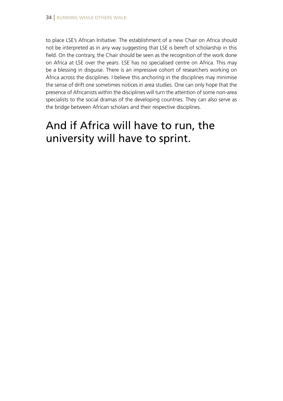to place LSE's African Initiative. The establishment of a new Chair on Africa should not be interpreted as in any way suggesting that LSE is bereft of scholarship in this field. On the contrary, the Chair should be seen as the recognition of the work done on Africa at LSE over the years. LSE has no specialised centre on Africa. This may be a blessing in disguise. There is an impressive cohort of researchers working on Africa across the disciplines. I believe this anchoring in the disciplines may minimise the sense of drift one sometimes notices in area studies. One can only hope that the presence of Africanists within the disciplines will turn the attention of some non-area specialists to the social dramas of the developing countries. They can also serve as the bridge between African scholars and their respective disciplines.

## And if Africa will have to run, the university will have to sprint.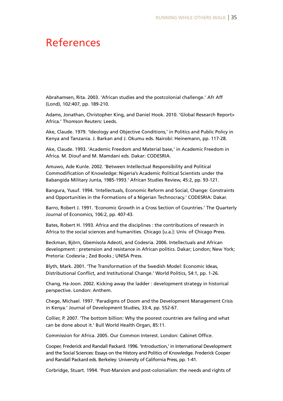## References

Abrahamsen, Rita. 2003. 'African studies and the postcolonial challenge.' Afr Aff (Lond), 102:407, pp. 189-210.

Adams, Jonathan, Christopher King, and Daniel Hook. 2010. 'Global Research Report> Africa.' Thomson Reuters: Leeds.

Ake, Claude. 1979. 'Ideology and Objective Conditions,' in Politics and Public Policy in Kenya and Tanzania. J. Barkan and J. Okumu eds. Nairobi: Heinemann, pp. 117-28.

Ake, Claude. 1993. 'Academic Freedom and Material base,' in Academic Freedom in Africa. M. Diouf and M. Mamdani eds. Dakar: CODESRIA.

Amuwo, Ade Kunle. 2002. 'Between Intellectual Responsibility and Political Commodification of Knowledge: Nigeria's Academic Political Scientists under the Babangida Military Junta, 1985-1993.' African Studies Review, 45:2, pp. 93-121.

Bangura, Yusuf. 1994. 'Intellectuals, Economic Reform and Social, Change: Constraints and Opportunities in the Formations of a Nigerian Technocracy.' CODESRIA: Dakar.

Barro, Robert J. 1991. 'Economic Growth in a Cross Section of Countries.' The Quarterly Journal of Economics, 106:2, pp. 407-43.

Bates, Robert H. 1993. Africa and the disciplines : the contributions of research in Africa to the social sciences and humanities. Chicago [u.a.]: Univ. of Chicago Press.

Beckman, Björn, Gbemisola Adeoti, and Codesria. 2006. Intellectuals and African development : pretension and resistance in African politics. Dakar; London; New York; Pretoria: Codesria ; Zed Books ; UNISA Press.

Blyth, Mark. 2001. 'The Transformation of the Swedish Model: Economic Ideas, Distributional Conflict, and Institutional Change.' World Politics, 54:1, pp. 1-26.

Chang, Ha-Joon. 2002. Kicking away the ladder : development strategy in historical perspective. London: Anthem.

Chege, Michael. 1997. 'Paradigms of Doom and the Development Management Crisis in Kenya.' Journal of Development Studies, 33:4, pp. 552-67.

Collier, P. 2007. 'The bottom billion: Why the poorest countries are failing and what can be done about it.' Bull World Health Organ, 85:11.

Commission for Africa. 2005. Our Common Interest. London: Cabinet Office.

Cooper, Frederick and Randall Packard. 1996. 'Introduction,' in International Development and the Social Sciences: Essays on the History and Politics of Knowledge. Frederick Cooper and Randall Packard eds. Berkeley: University of California Press, pp. 1-41.

Corbridge, Stuart. 1994. 'Post-Marxism and post-colonialism: the needs and rights of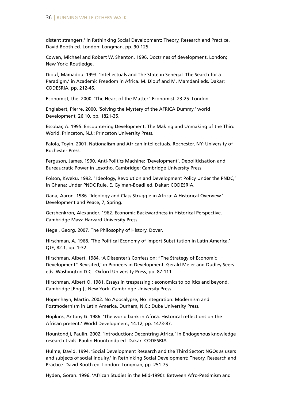distant strangers,' in Rethinking Social Development: Theory, Research and Practice. David Booth ed. London: Longman, pp. 90-125.

Cowen, Michael and Robert W. Shenton. 1996. Doctrines of development. London; New York: Routledge.

Diouf, Mamadou. 1993. 'Intellectuals and The State in Senegal: The Search for a Paradigm,' in Academic Freedom in Africa. M. Diouf and M. Mamdani eds. Dakar: CODESRIA, pp. 212-46.

Economist, the. 2000. 'The Heart of the Matter.' Economist: 23-25: London.

Englebert, Pierre. 2000. 'Solving the Mystery of the AFRICA Dummy.' world Development, 26:10, pp. 1821-35.

Escobar, A. 1995. Encountering Development: The Making and Unmaking of the Third World. Princeton, N.J.: Princeton University Press.

Falola, Toyin. 2001. Nationalism and African Intellectuals. Rochester, NY: University of Rochester Press.

Ferguson, James. 1990. Anti-Politics Machine: 'Development', Depoliticisation and Bureaucratic Power in Lesotho. Cambridge: Cambridge University Press.

Folson, Kweku. 1992. ' Ideology, Revolution and Development Policy Under the PNDC,' in Ghana: Under PNDC Rule. E. Gyimah-Boadi ed. Dakar: CODESRIA.

Gana, Aaron. 1986. 'Ideology and Class Struggle in Africa: A Historical Overview.' Development and Peace, 7, Spring.

Gershenkron, Alexander. 1962. Economic Backwardness in Historical Perspective. Cambridge Mass: Harvard University Press.

Hegel, Georg. 2007. The Philosophy of History. Dover.

Hirschman, A. 1968. 'The Political Economy of Import Substitution in Latin America.' QJE, 82:1, pp. 1-32.

Hirschman, Albert. 1984. 'A Dissenter's Confession: "The Strategy of Economic Development" Revisited,' in Pioneers in Development. Gerald Meier and Dudley Seers eds. Washington D.C.: Oxford University Press, pp. 87-111.

Hirschman, Albert O. 1981. Essays in trespassing : economics to politics and beyond. Cambridge [Eng.] ; New York: Cambridge University Press.

Hopenhayn, Martin. 2002. No Apocalypse, No Integration: Modernism and Postmodernism in Latin America. Durham, N.C.: Duke University Press.

Hopkins, Antony G. 1986. 'The world bank in Africa: Historical reflections on the African present.' World Development, 14:12, pp. 1473-87.

Hountondji, Paulin. 2002. 'Introduction: Decentring Africa,' in Endogenous knowledge research trails. Paulin Hountondji ed. Dakar: CODESRIA.

Hulme, David. 1994. 'Social Development Research and the Third Sector: NGOs as users and subjects of social inquiry,' in Rethinking Social Development: Theory, Research and Practice. David Booth ed. London: Longman, pp. 251-75.

Hyden, Goran. 1996. 'African Studies in the Mid-1990s: Between Afro-Pessimism and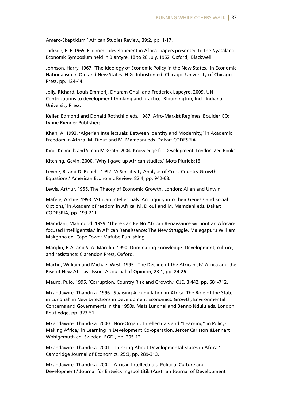Amero-Skepticism.' African Studies Review, 39:2, pp. 1-17.

Jackson, E. F. 1965. Economic development in Africa: papers presented to the Nyasaland Economic Symposium held in Blantyre, 18 to 28 July, 1962. Oxford,: Blackwell.

Johnson, Harry. 1967. 'The Ideology of Economic Policy in the New States,' in Economic Nationalism in Old and New States. H.G. Johnston ed. Chicago: University of Chicago Press, pp. 124-44.

Jolly, Richard, Louis Emmerij, Dharam Ghai, and Frederick Lapeyre. 2009. UN Contributions to development thinking and practice. Bloomington, Ind.: Indiana University Press.

Keller, Edmond and Donald Rothchild eds. 1987. Afro-Marxist Regimes. Boulder CO: Lynne Rienner Publishers.

Khan, A. 1993. 'Algerian Intellectuals: Between Identity and Modernity,' in Academic Freedom in Africa. M. Diouf and M. Mamdani eds. Dakar: CODESRIA.

King, Kenneth and Simon McGrath. 2004. Knowledge for Development. London: Zed Books.

Kitching, Gavin. 2000. 'Why I gave up African studies.' Mots Pluriels:16.

Levine, R. and D. Renelt. 1992. 'A Sensitivity Analysis of Cross-Country Growth Equations.' American Economic Review, 82:4, pp. 942-63.

Lewis, Arthur. 1955. The Theory of Economic Growth. London: Allen and Unwin.

Mafeje, Archie. 1993. 'African Intellectuals: An Inquiry into their Genesis and Social Options,' in Academic Freedom in Africa. M. Diouf and M. Mamdani eds. Dakar: CODESRIA, pp. 193-211.

Mamdani, Mahmood. 1999. 'There Can Be No African Renaissance without an Africanfocused Intelligentsia,' in African Renaissance: The New Struggle. Malegapuru William Makgoba ed. Cape Town: Mafube Publishing.

Marglin, F. A. and S. A. Marglin. 1990. Dominating knowledge: Development, culture, and resistance: Clarendon Press, Oxford.

Martin, William and Michael West. 1995. 'The Decline of the Africanists' Africa and the Rise of New Africas.' Issue: A Journal of Opinion, 23:1, pp. 24-26.

Mauro, Pulo. 1995. 'Corruption, Country Risk and Growth.' QJE, 3:442, pp. 681-712.

Mkandawire, Thandika. 1996. 'Stylising Accumulation in Africa: The Role of the State in Lundhal' in New Directions in Development Economics: Growth, Environmental Concerns and Governments in the 1990s. Mats Lundhal and Benno Ndulu eds. London: Routledge, pp. 323-51.

Mkandawire, Thandika. 2000. 'Non-Organic Intellectuals and "Learning" in Policy-Making Africa,' in Learning in Development Co-operation. Jerker Carlsson &Lennart Wohlgemuth ed. Sweden: EGDI, pp. 205-12.

Mkandawire, Thandika. 2001. 'Thinking About Developmental States in Africa.' Cambridge Journal of Economics, 25:3, pp. 289-313.

Mkandawire, Thandika. 2002. 'African Intellectuals, Political Culture and Development.' Journal für Entwicklingspolititik (Austrian Journal of Development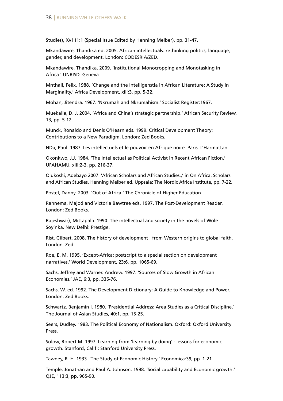Studies), Xv111:1 (Special Issue Edited by Henning Melber), pp. 31-47.

Mkandawire, Thandika ed. 2005. African intellectuals: rethinking politics, language, gender, and development. London: CODESRIA/ZED.

Mkandawire, Thandika. 2009. 'Institutional Monocropping and Monotasking in Africa.' UNRISD: Geneva.

Mnthali, Felix. 1988. 'Change and the Intelligenstia in African Literature: A Study in Marginality.' Africa Development, xiii:3, pp. 5-32.

Mohan, Jitendra. 1967. 'Nkrumah and Nkrumahism.' Socialist Register:1967.

Muekalia, D. J. 2004. 'Africa and China's strategic partnership.' African Security Review, 13, pp. 5-12.

Munck, Ronaldo and Denis O'Hearn eds. 1999. Critical Development Theory: Contributions to a New Paradigm. London: Zed Books.

NDa, Paul. 1987. Les intellectuels et le pouvoir en Afrique noire. Paris: L'Harmattan.

Okonkwo, J.J. 1984. 'The Intellectual as Political Activist in Recent African Fiction.' UFAHAMU, xiii:2-3, pp. 216-37.

Olukoshi, Adebayo 2007. 'African Scholars and African Studies.,' in On Africa. Scholars and African Studies. Henning Melber ed. Uppsala: The Nordic Africa Institute, pp. 7-22.

Postel, Danny. 2003. 'Out of Africa.' The Chronicle of Higher Education.

Rahnema, Majod and Victoria Bawtree eds. 1997. The Post-Development Reader. London: Zed Books.

Rajeshwar), Mittapalli. 1990. The intellectual and society in the novels of Wole Soyinka. New Delhi: Prestige.

Rist, Gilbert. 2008. The history of development : from Western origins to global faith. London: Zed.

Roe, E. M. 1995. 'Except-Africa: postscript to a special section on development narratives.' World Development, 23:6, pp. 1065-69.

Sachs, Jeffrey and Warner. Andrew. 1997. 'Sources of Slow Growth in African Economies.' JAE, 6:3, pp. 335-76.

Sachs, W. ed. 1992. The Development Dictionary: A Guide to Knowledge and Power. London: Zed Books.

Schwartz, Benjamin I. 1980. 'Presidential Address: Area Studies as a Critical Discipline.' The Journal of Asian Studies, 40:1, pp. 15-25.

Seers, Dudley. 1983. The Political Economy of Nationalism. Oxford: Oxford University Press.

Solow, Robert M. 1997. Learning from 'learning by doing' : lessons for economic growth. Stanford, Calif.: Stanford University Press.

Tawney, R. H. 1933. 'The Study of Economic History.' Economica:39, pp. 1-21.

Temple, Jonathan and Paul A. Johnson. 1998. 'Social capability and Economic growth.' QJE, 113:3, pp. 965-90.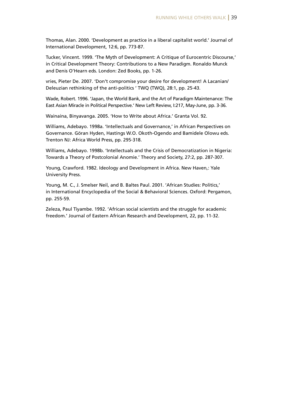Thomas, Alan. 2000. 'Development as practice in a liberal capitalist world.' Journal of International Development, 12:6, pp. 773-87.

Tucker, Vincent. 1999. 'The Myth of Development: A Critique of Eurocentric Discourse,' in Critical Development Theory: Contributions to a New Paradigm. Ronaldo Munck and Denis O'Hearn eds. London: Zed Books, pp. 1-26.

vries, Pieter De. 2007. 'Don't compromise your desire for development! A Lacanian/ Deleuzian rethinking of the anti-politics ' TWQ (TWQ), 28:1, pp. 25-43.

Wade, Robert. 1996. 'Japan, the World Bank, and the Art of Paradigm Maintenance: The East Asian Miracle in Political Perspective.' New Left Review, I:217, May-June, pp. 3-36.

Wainaina, Binyavanga. 2005. 'How to Write about Africa.' Granta Vol. 92.

Williams, Adebayo. 1998a. 'Intellectuals and Governance,' in African Perspectives on Governance. Göran Hyden, Hastings W.O. Okoth-Ogendo and Bamidele Olowu eds. Trenton NJ: Africa World Press, pp. 295-318.

Williams, Adebayo. 1998b. 'Intellectuals and the Crisis of Democratization in Nigeria: Towards a Theory of Postcolonial Anomie.' Theory and Society, 27:2, pp. 287-307.

Young, Crawford. 1982. Ideology and Development in Africa. New Haven,: Yale University Press.

Young, M. C., J. Smelser Neil, and B. Baltes Paul. 2001. 'African Studies: Politics,' in International Encyclopedia of the Social & Behavioral Sciences. Oxford: Pergamon, pp. 255-59.

Zeleza, Paul Tiyambe. 1992. 'African social scientists and the struggle for academic freedom.' Journal of Eastern African Research and Development, 22, pp. 11-32.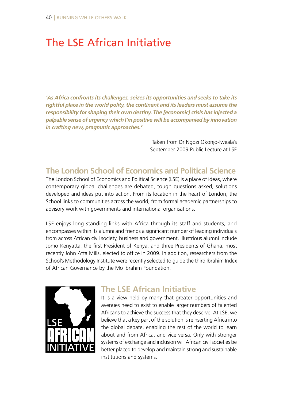## The LSE African Initiative

*'As Africa confronts its challenges, seizes its opportunities and seeks to take its rightful place in the world polity, the continent and its leaders must assume the responsibility for shaping their own destiny. The [economic] crisis has injected a palpable sense of urgency which I'm positive will be accompanied by innovation in crafting new, pragmatic approaches.'*

> Taken from Dr Ngozi Okonjo-Iweala's September 2009 Public Lecture at LSE

## **The London School of Economics and Political Science**

The London School of Economics and Political Science (LSE) is a place of ideas, where contemporary global challenges are debated, tough questions asked, solutions developed and ideas put into action. From its location in the heart of London, the School links to communities across the world, from formal academic partnerships to advisory work with governments and international organisations.

LSE enjoys long standing links with Africa through its staff and students, and encompasses within its alumni and friends a significant number of leading individuals from across African civil society, business and government. Illustrious alumni include Jomo Kenyatta, the first President of Kenya, and three Presidents of Ghana, most recently John Atta Mills, elected to office in 2009. In addition, researchers from the School's Methodology Institute were recently selected to guide the third Ibrahim Index of African Governance by the Mo Ibrahim Foundation.



### **The LSE African Initiative**

It is a view held by many that greater opportunities and avenues need to exist to enable larger numbers of talented Africans to achieve the success that they deserve. At LSE, we believe that a key part of the solution is reinserting Africa into the global debate, enabling the rest of the world to learn about and from Africa, and vice versa. Only with stronger systems of exchange and inclusion will African civil societies be better placed to develop and maintain strong and sustainable institutions and systems.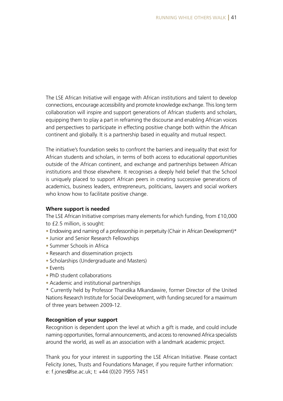The LSE African Initiative will engage with African institutions and talent to develop connections, encourage accessibility and promote knowledge exchange. This long term collaboration will inspire and support generations of African students and scholars, equipping them to play a part in reframing the discourse and enabling African voices and perspectives to participate in effecting positive change both within the African continent and globally. It is a partnership based in equality and mutual respect.

The initiative's foundation seeks to confront the barriers and inequality that exist for African students and scholars, in terms of both access to educational opportunities outside of the African continent, and exchange and partnerships between African institutions and those elsewhere. It recognises a deeply held belief that the School is uniquely placed to support African peers in creating successive generations of academics, business leaders, entrepreneurs, politicians, lawyers and social workers who know how to facilitate positive change.

#### **Where support is needed**

The LSE African Initiative comprises many elements for which funding, from £10,000 to £2.5 million, is sought:

- Endowing and naming of a professorship in perpetuity (Chair in African Development)\*
- Junior and Senior Research Fellowships
- Summer Schools in Africa
- Research and dissemination projects
- Scholarships (Undergraduate and Masters)
- Events
- PhD student collaborations
- Academic and institutional partnerships

\* Currently held by Professor Thandika Mkandawire, former Director of the United Nations Research Institute for Social Development, with funding secured for a maximum of three years between 2009-12.

#### **Recognition of your support**

Recognition is dependent upon the level at which a gift is made, and could include naming opportunities, formal announcements, and access to renowned Africa specialists around the world, as well as an association with a landmark academic project.

Thank you for your interest in supporting the LSE African Initiative. Please contact Felicity Jones, Trusts and Foundations Manager, if you require further information: e: f.jones@lse.ac.uk; t: +44 (0)20 7955 7451